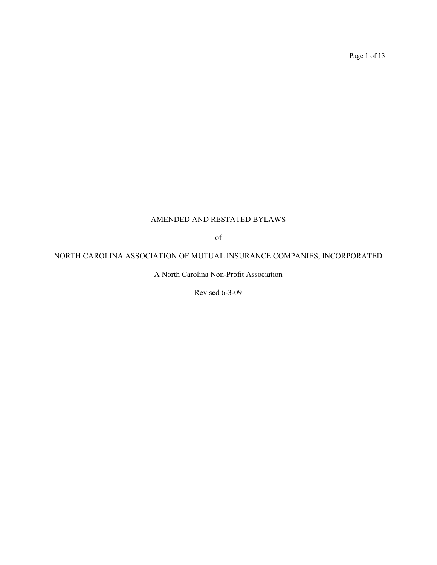Page 1 of 13

# AMENDED AND RESTATED BYLAWS

of

# NORTH CAROLINA ASSOCIATION OF MUTUAL INSURANCE COMPANIES, INCORPORATED

A North Carolina Non-Profit Association

Revised 6-3-09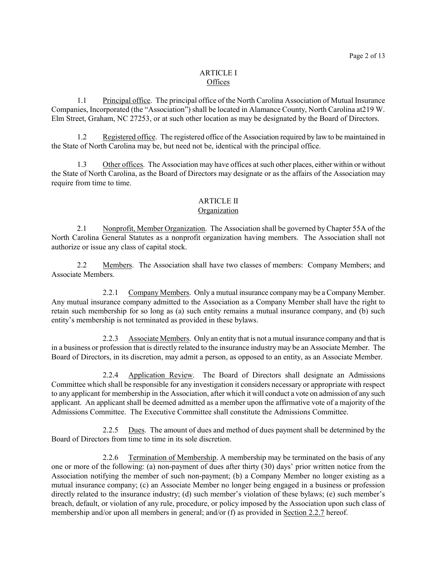#### ARTICLE I **Offices**

1.1 Principal office. The principal office of the North Carolina Association of Mutual Insurance Companies, Incorporated (the "Association") shall be located in Alamance County, North Carolina at219 W. Elm Street, Graham, NC 27253, or at such other location as may be designated by the Board of Directors.

1.2 Registered office. The registered office of the Association required by law to be maintained in the State of North Carolina may be, but need not be, identical with the principal office.

1.3 Other offices. The Association may have offices at such other places, either within or without the State of North Carolina, as the Board of Directors may designate or as the affairs of the Association may require from time to time.

# ARTICLE II

## Organization

 2.1 Nonprofit, Member Organization. The Association shall be governed by Chapter 55A of the North Carolina General Statutes as a nonprofit organization having members. The Association shall not authorize or issue any class of capital stock.

2.2 Members. The Association shall have two classes of members: Company Members; and Associate Members.

 2.2.1 Company Members. Only a mutual insurance company may be a Company Member. Any mutual insurance company admitted to the Association as a Company Member shall have the right to retain such membership for so long as (a) such entity remains a mutual insurance company, and (b) such entity's membership is not terminated as provided in these bylaws.

 2.2.3 Associate Members. Only an entity that is not a mutual insurance company and that is in a business or profession that is directly related to the insurance industry may be an Associate Member. The Board of Directors, in its discretion, may admit a person, as opposed to an entity, as an Associate Member.

 2.2.4 Application Review. The Board of Directors shall designate an Admissions Committee which shall be responsible for any investigation it considers necessary or appropriate with respect to any applicant for membership in the Association, after which it will conduct a vote on admission of any such applicant. An applicant shall be deemed admitted as a member upon the affirmative vote of a majority of the Admissions Committee. The Executive Committee shall constitute the Admissions Committee.

2.2.5 Dues. The amount of dues and method of dues payment shall be determined by the Board of Directors from time to time in its sole discretion.

 2.2.6 Termination of Membership. A membership may be terminated on the basis of any one or more of the following: (a) non-payment of dues after thirty (30) days' prior written notice from the Association notifying the member of such non-payment; (b) a Company Member no longer existing as a mutual insurance company; (c) an Associate Member no longer being engaged in a business or profession directly related to the insurance industry; (d) such member's violation of these bylaws; (e) such member's breach, default, or violation of any rule, procedure, or policy imposed by the Association upon such class of membership and/or upon all members in general; and/or (f) as provided in Section 2.2.7 hereof.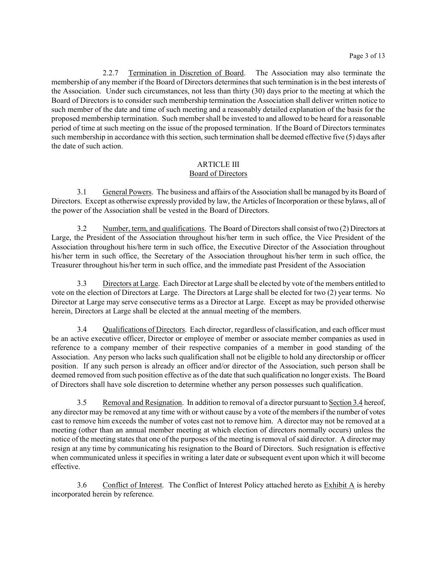2.2.7 Termination in Discretion of Board. The Association may also terminate the membership of any member if the Board of Directors determines that such termination is in the best interests of the Association. Under such circumstances, not less than thirty (30) days prior to the meeting at which the Board of Directors is to consider such membership termination the Association shall deliver written notice to such member of the date and time of such meeting and a reasonably detailed explanation of the basis for the proposed membership termination. Such member shall be invested to and allowed to be heard for a reasonable period of time at such meeting on the issue of the proposed termination. If the Board of Directors terminates such membership in accordance with this section, such termination shall be deemed effective five (5) days after the date of such action.

#### ARTICLE III Board of Directors

3.1 General Powers. The business and affairs of the Association shall be managed by its Board of Directors. Except as otherwise expressly provided by law, the Articles of Incorporation or these bylaws, all of the power of the Association shall be vested in the Board of Directors.

3.2 Number, term, and qualifications. The Board of Directors shall consist of two (2) Directors at Large, the President of the Association throughout his/her term in such office, the Vice President of the Association throughout his/here term in such office, the Executive Director of the Association throughout his/her term in such office, the Secretary of the Association throughout his/her term in such office, the Treasurer throughout his/her term in such office, and the immediate past President of the Association

3.3 Directors at Large. Each Director at Large shall be elected by vote of the members entitled to vote on the election of Directors at Large. The Directors at Large shall be elected for two (2) year terms. No Director at Large may serve consecutive terms as a Director at Large. Except as may be provided otherwise herein, Directors at Large shall be elected at the annual meeting of the members.

3.4 Qualifications of Directors. Each director, regardless of classification, and each officer must be an active executive officer, Director or employee of member or associate member companies as used in reference to a company member of their respective companies of a member in good standing of the Association. Any person who lacks such qualification shall not be eligible to hold any directorship or officer position. If any such person is already an officer and/or director of the Association, such person shall be deemed removed from such position effective as of the date that such qualification no longer exists. The Board of Directors shall have sole discretion to determine whether any person possesses such qualification.

3.5 Removal and Resignation. In addition to removal of a director pursuant to Section 3.4 hereof, any director may be removed at any time with or without cause by a vote of the members if the number of votes cast to remove him exceeds the number of votes cast not to remove him. A director may not be removed at a meeting (other than an annual member meeting at which election of directors normally occurs) unless the notice of the meeting states that one of the purposes of the meeting is removal of said director. A director may resign at any time by communicating his resignation to the Board of Directors. Such resignation is effective when communicated unless it specifies in writing a later date or subsequent event upon which it will become effective.

3.6 Conflict of Interest. The Conflict of Interest Policy attached hereto as Exhibit A is hereby incorporated herein by reference.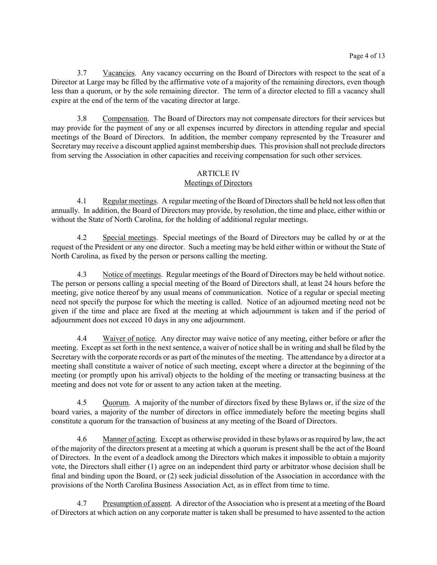3.7 Vacancies. Any vacancy occurring on the Board of Directors with respect to the seat of a Director at Large may be filled by the affirmative vote of a majority of the remaining directors, even though less than a quorum, or by the sole remaining director. The term of a director elected to fill a vacancy shall expire at the end of the term of the vacating director at large.

3.8 Compensation. The Board of Directors may not compensate directors for their services but may provide for the payment of any or all expenses incurred by directors in attending regular and special meetings of the Board of Directors. In addition, the member company represented by the Treasurer and Secretary may receive a discount applied against membership dues. This provision shall not preclude directors from serving the Association in other capacities and receiving compensation for such other services.

## ARTICLE IV Meetings of Directors

4.1 Regular meetings. A regular meeting of the Board of Directors shall be held not less often that annually. In addition, the Board of Directors may provide, by resolution, the time and place, either within or without the State of North Carolina, for the holding of additional regular meetings.

4.2 Special meetings. Special meetings of the Board of Directors may be called by or at the request of the President or any one director. Such a meeting may be held either within or without the State of North Carolina, as fixed by the person or persons calling the meeting.

4.3 Notice of meetings. Regular meetings of the Board of Directors may be held without notice. The person or persons calling a special meeting of the Board of Directors shall, at least 24 hours before the meeting, give notice thereof by any usual means of communication. Notice of a regular or special meeting need not specify the purpose for which the meeting is called. Notice of an adjourned meeting need not be given if the time and place are fixed at the meeting at which adjournment is taken and if the period of adjournment does not exceed 10 days in any one adjournment.

4.4 Waiver of notice. Any director may waive notice of any meeting, either before or after the meeting. Except as set forth in the next sentence, a waiver of notice shall be in writing and shall be filed by the Secretary with the corporate records or as part of the minutes of the meeting. The attendance by a director at a meeting shall constitute a waiver of notice of such meeting, except where a director at the beginning of the meeting (or promptly upon his arrival) objects to the holding of the meeting or transacting business at the meeting and does not vote for or assent to any action taken at the meeting.

4.5 Quorum. A majority of the number of directors fixed by these Bylaws or, if the size of the board varies, a majority of the number of directors in office immediately before the meeting begins shall constitute a quorum for the transaction of business at any meeting of the Board of Directors.

4.6 Manner of acting. Except as otherwise provided in these bylaws or as required by law, the act of the majority of the directors present at a meeting at which a quorum is present shall be the act of the Board of Directors. In the event of a deadlock among the Directors which makes it impossible to obtain a majority vote, the Directors shall either (1) agree on an independent third party or arbitrator whose decision shall be final and binding upon the Board, or (2) seek judicial dissolution of the Association in accordance with the provisions of the North Carolina Business Association Act, as in effect from time to time.

4.7 Presumption of assent. A director of the Association who is present at a meeting of the Board of Directors at which action on any corporate matter is taken shall be presumed to have assented to the action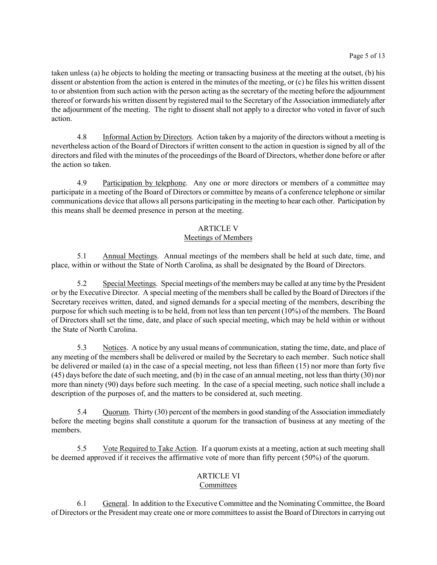taken unless (a) he objects to holding the meeting or transacting business at the meeting at the outset, (b) his dissent or abstention from the action is entered in the minutes of the meeting, or (c) he files his written dissent to or abstention from such action with the person acting as the secretary of the meeting before the adjournment thereof or forwards his written dissent by registered mail to the Secretary of the Association immediately after the adjournment of the meeting. The right to dissent shall not apply to a director who voted in favor of such action.

4.8 Informal Action by Directors. Action taken by a majority of the directors without a meeting is nevertheless action of the Board of Directors if written consent to the action in question is signed by all of the directors and filed with the minutes of the proceedings of the Board of Directors, whether done before or after the action so taken.

4.9 Participation by telephone. Any one or more directors or members of a committee may participate in a meeting of the Board of Directors or committee by means of a conference telephone or similar communications device that allows all persons participating in the meeting to hear each other. Participation by this means shall be deemed presence in person at the meeting.

## ARTICLE V

## Meetings of Members

5.1 Annual Meetings. Annual meetings of the members shall be held at such date, time, and place, within or without the State of North Carolina, as shall be designated by the Board of Directors.

 5.2 Special Meetings. Special meetings of the members may be called at any time by the President or by the Executive Director. A special meeting of the members shall be called by the Board of Directors if the Secretary receives written, dated, and signed demands for a special meeting of the members, describing the purpose for which such meeting is to be held, from not less than ten percent (10%) of the members. The Board of Directors shall set the time, date, and place of such special meeting, which may be held within or without the State of North Carolina.

 5.3 Notices. A notice by any usual means of communication, stating the time, date, and place of any meeting of the members shall be delivered or mailed by the Secretary to each member. Such notice shall be delivered or mailed (a) in the case of a special meeting, not less than fifteen (15) nor more than forty five (45) days before the date of such meeting, and (b) in the case of an annual meeting, not less than thirty (30) nor more than ninety (90) days before such meeting. In the case of a special meeting, such notice shall include a description of the purposes of, and the matters to be considered at, such meeting.

5.4 Quorum. Thirty (30) percent of the members in good standing of the Association immediately before the meeting begins shall constitute a quorum for the transaction of business at any meeting of the members.

 5.5 Vote Required to Take Action. If a quorum exists at a meeting, action at such meeting shall be deemed approved if it receives the affirmative vote of more than fifty percent (50%) of the quorum.

# ARTICLE VI

# Committees

 6.1 General. In addition to the Executive Committee and the Nominating Committee, the Board of Directors or the President may create one or more committees to assist the Board of Directors in carrying out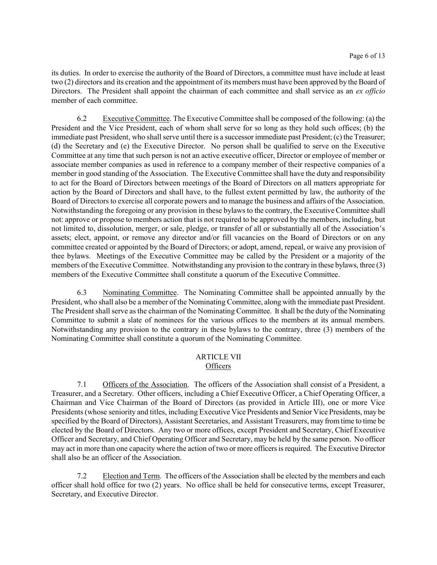its duties. In order to exercise the authority of the Board of Directors, a committee must have include at least two (2) directors and its creation and the appointment of its members must have been approved by the Board of Directors. The President shall appoint the chairman of each committee and shall service as an ex officio member of each committee.

 6.2 Executive Committee. The Executive Committee shall be composed of the following: (a) the President and the Vice President, each of whom shall serve for so long as they hold such offices; (b) the immediate past President, who shall serve until there is a successor immediate past President; (c) the Treasurer; (d) the Secretary and (e) the Executive Director. No person shall be qualified to serve on the Executive Committee at any time that such person is not an active executive officer, Director or employee of member or associate member companies as used in reference to a company member of their respective companies of a member in good standing of the Association. The Executive Committee shall have the duty and responsibility to act for the Board of Directors between meetings of the Board of Directors on all matters appropriate for action by the Board of Directors and shall have, to the fullest extent permitted by law, the authority of the Board of Directors to exercise all corporate powers and to manage the business and affairs of the Association. Notwithstanding the foregoing or any provision in these bylaws to the contrary, the Executive Committee shall not: approve or propose to members action that is not required to be approved by the members, including, but not limited to, dissolution, merger, or sale, pledge, or transfer of all or substantially all of the Association's assets; elect, appoint, or remove any director and/or fill vacancies on the Board of Directors or on any committee created or appointed by the Board of Directors; or adopt, amend, repeal, or waive any provision of thee bylaws. Meetings of the Executive Committee may be called by the President or a majority of the members of the Executive Committee. Notwithstanding any provision to the contrary in these bylaws, three (3) members of the Executive Committee shall constitute a quorum of the Executive Committee.

 6.3 Nominating Committee. The Nominating Committee shall be appointed annually by the President, who shall also be a member of the Nominating Committee, along with the immediate past President. The President shall serve as the chairman of the Nominating Committee. It shall be the duty of the Nominating Committee to submit a slate of nominees for the various offices to the members at its annual members. Notwithstanding any provision to the contrary in these bylaws to the contrary, three (3) members of the Nominating Committee shall constitute a quorum of the Nominating Committee.

#### ARTICLE VII **Officers**

7.1 Officers of the Association. The officers of the Association shall consist of a President, a Treasurer, and a Secretary. Other officers, including a Chief Executive Officer, a Chief Operating Officer, a Chairman and Vice Chairman of the Board of Directors (as provided in Article III), one or more Vice Presidents (whose seniority and titles, including Executive Vice Presidents and Senior Vice Presidents, may be specified by the Board of Directors), Assistant Secretaries, and Assistant Treasurers, may from time to time be elected by the Board of Directors. Any two or more offices, except President and Secretary, Chief Executive Officer and Secretary, and Chief Operating Officer and Secretary, may be held by the same person. No officer may act in more than one capacity where the action of two or more officers is required. The Executive Director shall also be an officer of the Association.

7.2 Election and Term. The officers of the Association shall be elected by the members and each officer shall hold office for two (2) years. No office shall be held for consecutive terms, except Treasurer, Secretary, and Executive Director.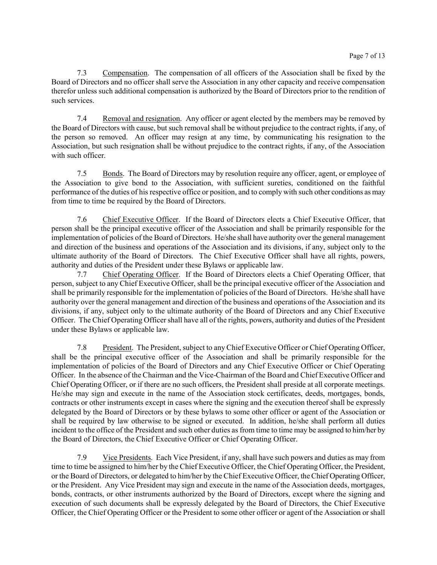7.3 Compensation. The compensation of all officers of the Association shall be fixed by the Board of Directors and no officer shall serve the Association in any other capacity and receive compensation therefor unless such additional compensation is authorized by the Board of Directors prior to the rendition of such services.

7.4 Removal and resignation. Any officer or agent elected by the members may be removed by the Board of Directors with cause, but such removal shall be without prejudice to the contract rights, if any, of the person so removed. An officer may resign at any time, by communicating his resignation to the Association, but such resignation shall be without prejudice to the contract rights, if any, of the Association with such officer.

7.5 Bonds. The Board of Directors may by resolution require any officer, agent, or employee of the Association to give bond to the Association, with sufficient sureties, conditioned on the faithful performance of the duties of his respective office or position, and to comply with such other conditions as may from time to time be required by the Board of Directors.

7.6 Chief Executive Officer. If the Board of Directors elects a Chief Executive Officer, that person shall be the principal executive officer of the Association and shall be primarily responsible for the implementation of policies of the Board of Directors. He/she shall have authority over the general management and direction of the business and operations of the Association and its divisions, if any, subject only to the ultimate authority of the Board of Directors. The Chief Executive Officer shall have all rights, powers, authority and duties of the President under these Bylaws or applicable law.

7.7 Chief Operating Officer. If the Board of Directors elects a Chief Operating Officer, that person, subject to any Chief Executive Officer, shall be the principal executive officer of the Association and shall be primarily responsible for the implementation of policies of the Board of Directors. He/she shall have authority over the general management and direction of the business and operations of the Association and its divisions, if any, subject only to the ultimate authority of the Board of Directors and any Chief Executive Officer. The Chief Operating Officer shall have all of the rights, powers, authority and duties of the President under these Bylaws or applicable law.

7.8 President. The President, subject to any Chief Executive Officer or Chief Operating Officer, shall be the principal executive officer of the Association and shall be primarily responsible for the implementation of policies of the Board of Directors and any Chief Executive Officer or Chief Operating Officer. In the absence of the Chairman and the Vice-Chairman of the Board and Chief Executive Officer and Chief Operating Officer, or if there are no such officers, the President shall preside at all corporate meetings. He/she may sign and execute in the name of the Association stock certificates, deeds, mortgages, bonds, contracts or other instruments except in cases where the signing and the execution thereof shall be expressly delegated by the Board of Directors or by these bylaws to some other officer or agent of the Association or shall be required by law otherwise to be signed or executed. In addition, he/she shall perform all duties incident to the office of the President and such other duties as from time to time may be assigned to him/her by the Board of Directors, the Chief Executive Officer or Chief Operating Officer.

7.9 Vice Presidents. Each Vice President, if any, shall have such powers and duties as may from time to time be assigned to him/her by the Chief Executive Officer, the Chief Operating Officer, the President, or the Board of Directors, or delegated to him/her by the Chief Executive Officer, the Chief Operating Officer, or the President. Any Vice President may sign and execute in the name of the Association deeds, mortgages, bonds, contracts, or other instruments authorized by the Board of Directors, except where the signing and execution of such documents shall be expressly delegated by the Board of Directors, the Chief Executive Officer, the Chief Operating Officer or the President to some other officer or agent of the Association or shall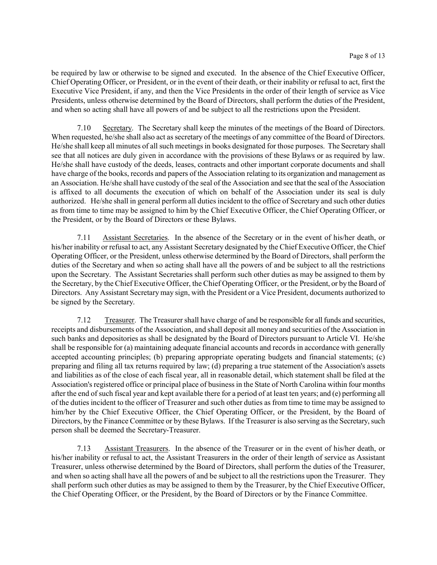be required by law or otherwise to be signed and executed. In the absence of the Chief Executive Officer, Chief Operating Officer, or President, or in the event of their death, or their inability or refusal to act, first the Executive Vice President, if any, and then the Vice Presidents in the order of their length of service as Vice Presidents, unless otherwise determined by the Board of Directors, shall perform the duties of the President, and when so acting shall have all powers of and be subject to all the restrictions upon the President.

7.10 Secretary. The Secretary shall keep the minutes of the meetings of the Board of Directors. When requested, he/she shall also act as secretary of the meetings of any committee of the Board of Directors. He/she shall keep all minutes of all such meetings in books designated for those purposes. The Secretary shall see that all notices are duly given in accordance with the provisions of these Bylaws or as required by law. He/she shall have custody of the deeds, leases, contracts and other important corporate documents and shall have charge of the books, records and papers of the Association relating to its organization and management as an Association. He/she shall have custody of the seal of the Association and see that the seal of the Association is affixed to all documents the execution of which on behalf of the Association under its seal is duly authorized. He/she shall in general perform all duties incident to the office of Secretary and such other duties as from time to time may be assigned to him by the Chief Executive Officer, the Chief Operating Officer, or the President, or by the Board of Directors or these Bylaws.

7.11 Assistant Secretaries. In the absence of the Secretary or in the event of his/her death, or his/her inability or refusal to act, any Assistant Secretary designated by the Chief Executive Officer, the Chief Operating Officer, or the President, unless otherwise determined by the Board of Directors, shall perform the duties of the Secretary and when so acting shall have all the powers of and be subject to all the restrictions upon the Secretary. The Assistant Secretaries shall perform such other duties as may be assigned to them by the Secretary, by the Chief Executive Officer, the Chief Operating Officer, or the President, or by the Board of Directors. Any Assistant Secretary may sign, with the President or a Vice President, documents authorized to be signed by the Secretary.

7.12 Treasurer. The Treasurer shall have charge of and be responsible for all funds and securities, receipts and disbursements of the Association, and shall deposit all money and securities of the Association in such banks and depositories as shall be designated by the Board of Directors pursuant to Article VI. He/she shall be responsible for (a) maintaining adequate financial accounts and records in accordance with generally accepted accounting principles; (b) preparing appropriate operating budgets and financial statements; (c) preparing and filing all tax returns required by law; (d) preparing a true statement of the Association's assets and liabilities as of the close of each fiscal year, all in reasonable detail, which statement shall be filed at the Association's registered office or principal place of business in the State of North Carolina within four months after the end of such fiscal year and kept available there for a period of at least ten years; and (e) performing all of the duties incident to the officer of Treasurer and such other duties as from time to time may be assigned to him/her by the Chief Executive Officer, the Chief Operating Officer, or the President, by the Board of Directors, by the Finance Committee or by these Bylaws. If the Treasurer is also serving as the Secretary, such person shall be deemed the Secretary-Treasurer.

7.13 Assistant Treasurers. In the absence of the Treasurer or in the event of his/her death, or his/her inability or refusal to act, the Assistant Treasurers in the order of their length of service as Assistant Treasurer, unless otherwise determined by the Board of Directors, shall perform the duties of the Treasurer, and when so acting shall have all the powers of and be subject to all the restrictions upon the Treasurer. They shall perform such other duties as may be assigned to them by the Treasurer, by the Chief Executive Officer, the Chief Operating Officer, or the President, by the Board of Directors or by the Finance Committee.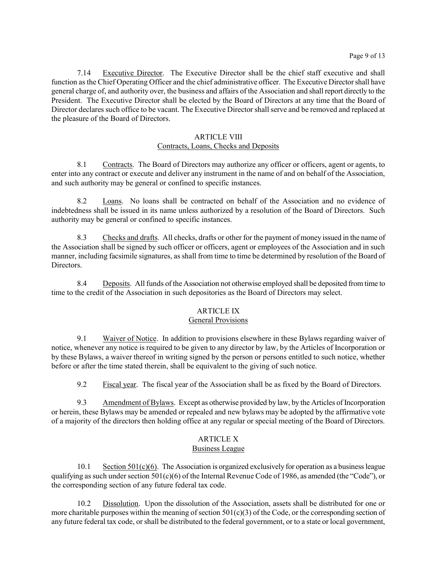7.14 Executive Director. The Executive Director shall be the chief staff executive and shall function as the Chief Operating Officer and the chief administrative officer. The Executive Director shall have general charge of, and authority over, the business and affairs of the Association and shall report directly to the President. The Executive Director shall be elected by the Board of Directors at any time that the Board of Director declares such office to be vacant. The Executive Director shall serve and be removed and replaced at the pleasure of the Board of Directors.

## ARTICLE VIII

## Contracts, Loans, Checks and Deposits

8.1 Contracts. The Board of Directors may authorize any officer or officers, agent or agents, to enter into any contract or execute and deliver any instrument in the name of and on behalf of the Association, and such authority may be general or confined to specific instances.

8.2 Loans. No loans shall be contracted on behalf of the Association and no evidence of indebtedness shall be issued in its name unless authorized by a resolution of the Board of Directors. Such authority may be general or confined to specific instances.

8.3 Checks and drafts. All checks, drafts or other for the payment of money issued in the name of the Association shall be signed by such officer or officers, agent or employees of the Association and in such manner, including facsimile signatures, as shall from time to time be determined by resolution of the Board of **Directors** 

8.4 Deposits. All funds of the Association not otherwise employed shall be deposited from time to time to the credit of the Association in such depositories as the Board of Directors may select.

## ARTICLE IX

## General Provisions

9.1 Waiver of Notice. In addition to provisions elsewhere in these Bylaws regarding waiver of notice, whenever any notice is required to be given to any director by law, by the Articles of Incorporation or by these Bylaws, a waiver thereof in writing signed by the person or persons entitled to such notice, whether before or after the time stated therein, shall be equivalent to the giving of such notice.

9.2 Fiscal year. The fiscal year of the Association shall be as fixed by the Board of Directors.

9.3 Amendment of Bylaws. Except as otherwise provided by law, by the Articles of Incorporation or herein, these Bylaws may be amended or repealed and new bylaws may be adopted by the affirmative vote of a majority of the directors then holding office at any regular or special meeting of the Board of Directors.

## ARTICLE X

#### Business League

 $10.1$  Section  $501(c)(6)$ . The Association is organized exclusively for operation as a business league qualifying as such under section  $501(c)(6)$  of the Internal Revenue Code of 1986, as amended (the "Code"), or the corresponding section of any future federal tax code.

10.2 Dissolution. Upon the dissolution of the Association, assets shall be distributed for one or more charitable purposes within the meaning of section 501(c)(3) of the Code, or the corresponding section of any future federal tax code, or shall be distributed to the federal government, or to a state or local government,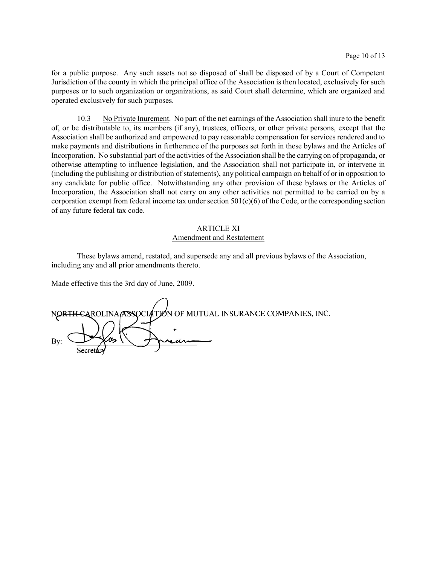for a public purpose. Any such assets not so disposed of shall be disposed of by a Court of Competent Jurisdiction of the county in which the principal office of the Association is then located, exclusively for such purposes or to such organization or organizations, as said Court shall determine, which are organized and operated exclusively for such purposes.

 10.3 No Private Inurement. No part of the net earnings of the Association shall inure to the benefit of, or be distributable to, its members (if any), trustees, officers, or other private persons, except that the Association shall be authorized and empowered to pay reasonable compensation for services rendered and to make payments and distributions in furtherance of the purposes set forth in these bylaws and the Articles of Incorporation. No substantial part of the activities of the Association shall be the carrying on of propaganda, or otherwise attempting to influence legislation, and the Association shall not participate in, or intervene in (including the publishing or distribution of statements), any political campaign on behalf of or in opposition to any candidate for public office. Notwithstanding any other provision of these bylaws or the Articles of Incorporation, the Association shall not carry on any other activities not permitted to be carried on by a corporation exempt from federal income tax under section  $501(c)(6)$  of the Code, or the corresponding section of any future federal tax code.

## ARTICLE XI Amendment and Restatement

 These bylaws amend, restated, and supersede any and all previous bylaws of the Association, including any and all prior amendments thereto.

Made effective this the 3rd day of June, 2009.

TION OF MUTUAL INSURANCE COMPANIES, INC. ASSOCI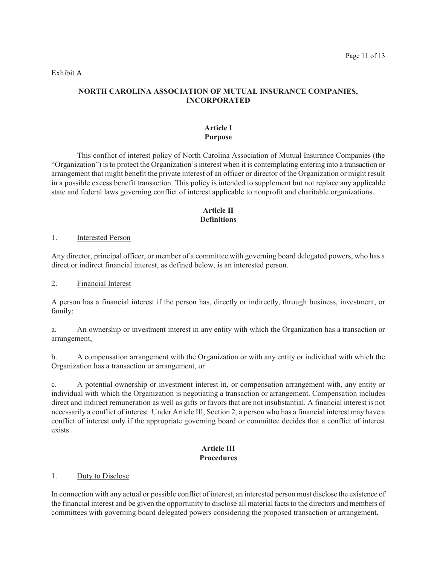Exhibit A

## NORTH CAROLINA ASSOCIATION OF MUTUAL INSURANCE COMPANIES, INCORPORATED

## Article I Purpose

This conflict of interest policy of North Carolina Association of Mutual Insurance Companies (the "Organization") is to protect the Organization's interest when it is contemplating entering into a transaction or arrangement that might benefit the private interest of an officer or director of the Organization or might result in a possible excess benefit transaction. This policy is intended to supplement but not replace any applicable state and federal laws governing conflict of interest applicable to nonprofit and charitable organizations.

## Article II **Definitions**

#### 1. Interested Person

Any director, principal officer, or member of a committee with governing board delegated powers, who has a direct or indirect financial interest, as defined below, is an interested person.

#### 2. Financial Interest

A person has a financial interest if the person has, directly or indirectly, through business, investment, or family:

a. An ownership or investment interest in any entity with which the Organization has a transaction or arrangement,

b. A compensation arrangement with the Organization or with any entity or individual with which the Organization has a transaction or arrangement, or

c. A potential ownership or investment interest in, or compensation arrangement with, any entity or individual with which the Organization is negotiating a transaction or arrangement. Compensation includes direct and indirect remuneration as well as gifts or favors that are not insubstantial. A financial interest is not necessarily a conflict of interest. Under Article III, Section 2, a person who has a financial interest may have a conflict of interest only if the appropriate governing board or committee decides that a conflict of interest exists.

#### Article III **Procedures**

## 1. Duty to Disclose

In connection with any actual or possible conflict of interest, an interested person must disclose the existence of the financial interest and be given the opportunity to disclose all material facts to the directors and members of committees with governing board delegated powers considering the proposed transaction or arrangement.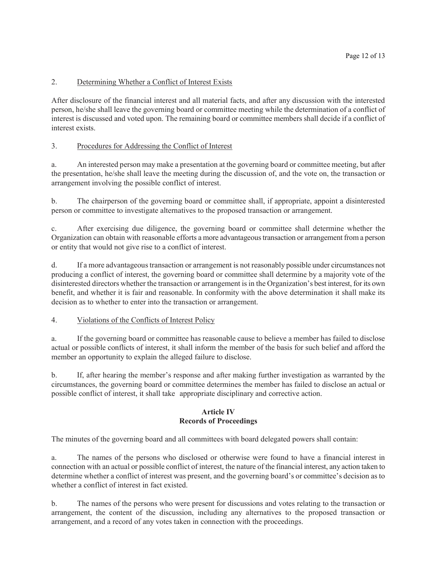# 2. Determining Whether a Conflict of Interest Exists

After disclosure of the financial interest and all material facts, and after any discussion with the interested person, he/she shall leave the governing board or committee meeting while the determination of a conflict of interest is discussed and voted upon. The remaining board or committee members shall decide if a conflict of interest exists.

# 3. Procedures for Addressing the Conflict of Interest

a. An interested person may make a presentation at the governing board or committee meeting, but after the presentation, he/she shall leave the meeting during the discussion of, and the vote on, the transaction or arrangement involving the possible conflict of interest.

b. The chairperson of the governing board or committee shall, if appropriate, appoint a disinterested person or committee to investigate alternatives to the proposed transaction or arrangement.

c. After exercising due diligence, the governing board or committee shall determine whether the Organization can obtain with reasonable efforts a more advantageous transaction or arrangement from a person or entity that would not give rise to a conflict of interest.

d. If a more advantageous transaction or arrangement is not reasonably possible under circumstances not producing a conflict of interest, the governing board or committee shall determine by a majority vote of the disinterested directors whether the transaction or arrangement is in the Organization's best interest, for its own benefit, and whether it is fair and reasonable. In conformity with the above determination it shall make its decision as to whether to enter into the transaction or arrangement.

# 4. Violations of the Conflicts of Interest Policy

a. If the governing board or committee has reasonable cause to believe a member has failed to disclose actual or possible conflicts of interest, it shall inform the member of the basis for such belief and afford the member an opportunity to explain the alleged failure to disclose.

b. If, after hearing the member's response and after making further investigation as warranted by the circumstances, the governing board or committee determines the member has failed to disclose an actual or possible conflict of interest, it shall take appropriate disciplinary and corrective action.

## Article IV Records of Proceedings

The minutes of the governing board and all committees with board delegated powers shall contain:

a. The names of the persons who disclosed or otherwise were found to have a financial interest in connection with an actual or possible conflict of interest, the nature of the financial interest, any action taken to determine whether a conflict of interest was present, and the governing board's or committee's decision as to whether a conflict of interest in fact existed.

b. The names of the persons who were present for discussions and votes relating to the transaction or arrangement, the content of the discussion, including any alternatives to the proposed transaction or arrangement, and a record of any votes taken in connection with the proceedings.